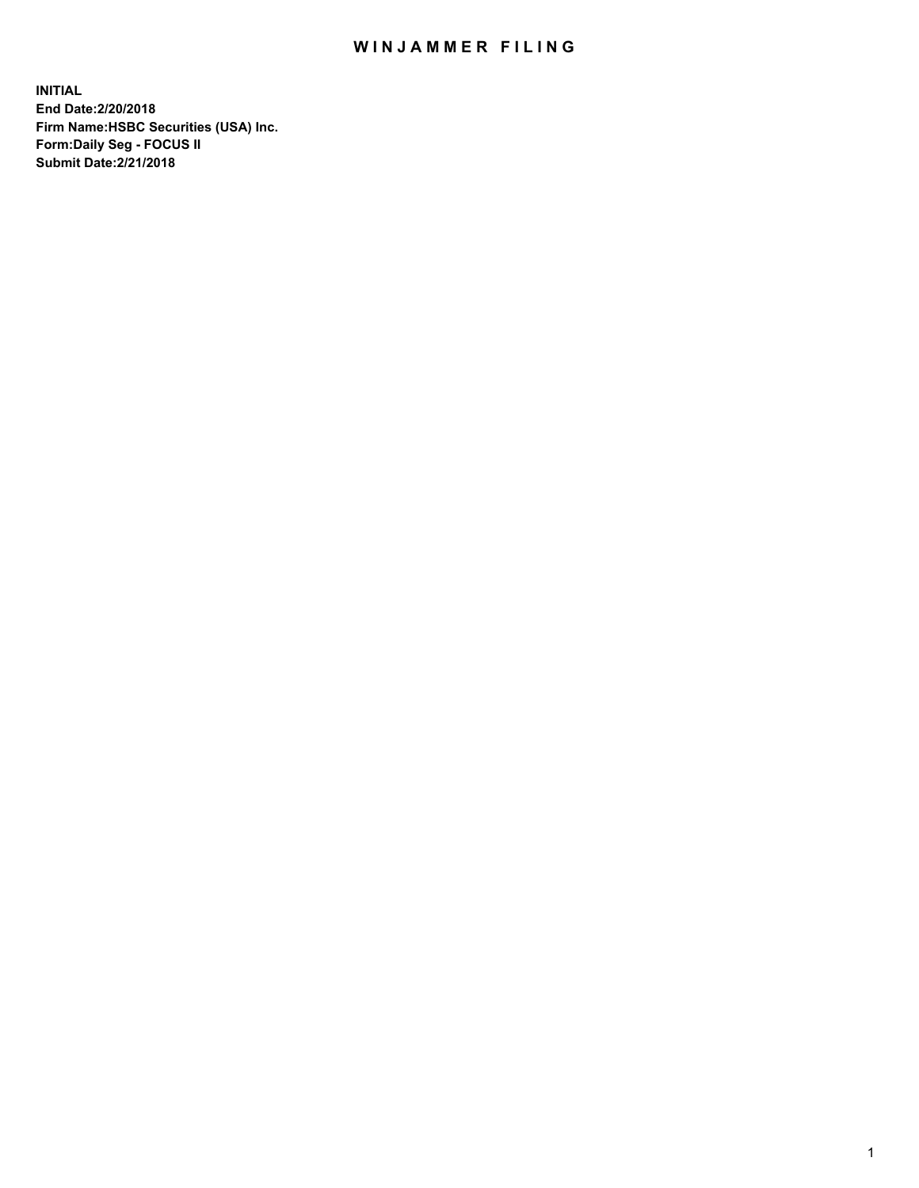## WIN JAMMER FILING

**INITIAL End Date:2/20/2018 Firm Name:HSBC Securities (USA) Inc. Form:Daily Seg - FOCUS II Submit Date:2/21/2018**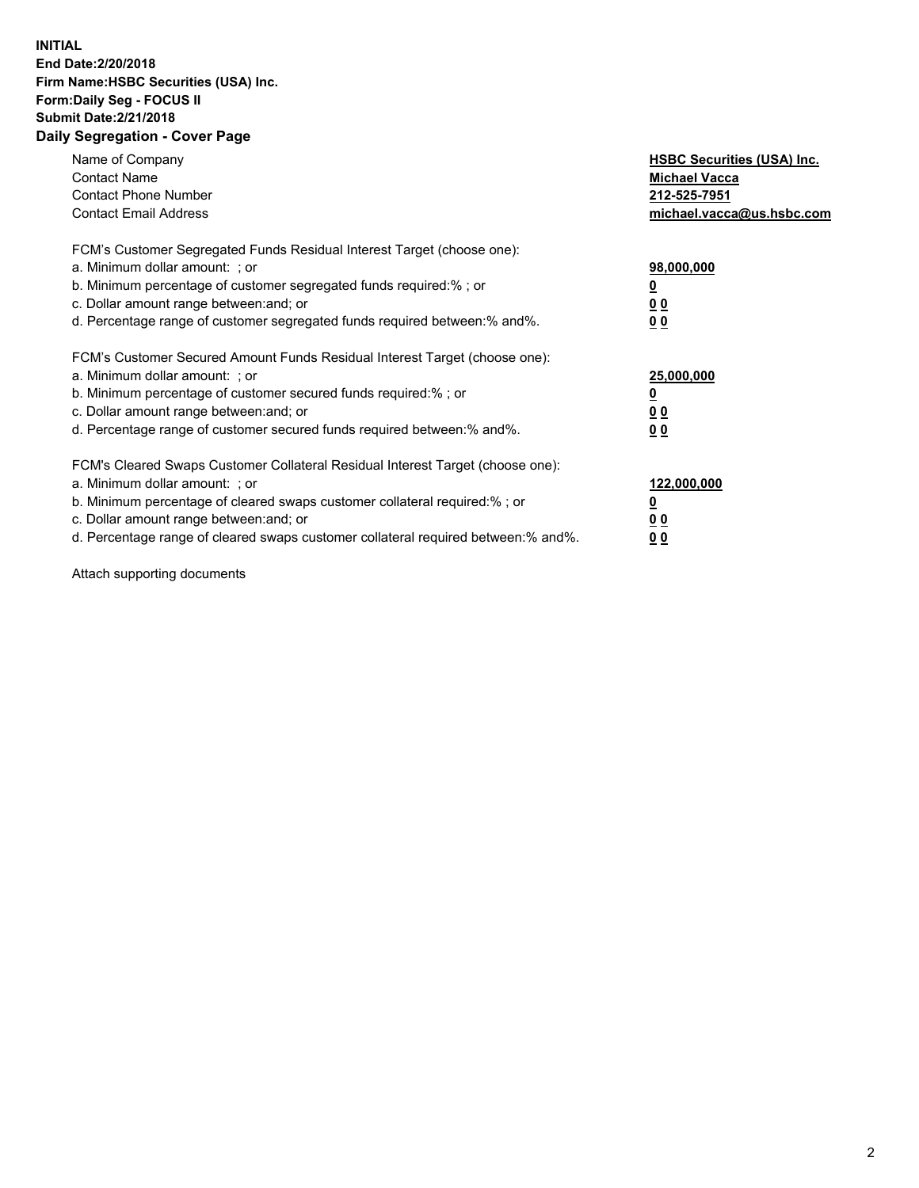## **INITIAL End Date:2/20/2018 Firm Name:HSBC Securities (USA) Inc. Form:Daily Seg - FOCUS II Submit Date:2/21/2018 Daily Segregation - Cover Page**

| Name of Company<br><b>Contact Name</b><br><b>Contact Phone Number</b><br><b>Contact Email Address</b>                                                                                                                                                                                                                         | <b>HSBC Securities (USA) Inc.</b><br><b>Michael Vacca</b><br>212-525-7951<br>michael.vacca@us.hsbc.com |
|-------------------------------------------------------------------------------------------------------------------------------------------------------------------------------------------------------------------------------------------------------------------------------------------------------------------------------|--------------------------------------------------------------------------------------------------------|
| FCM's Customer Segregated Funds Residual Interest Target (choose one):<br>a. Minimum dollar amount: ; or<br>b. Minimum percentage of customer segregated funds required:%; or<br>c. Dollar amount range between: and; or<br>d. Percentage range of customer segregated funds required between: % and %.                       | 98,000,000<br><u>0</u><br><u>00</u><br><u>00</u>                                                       |
| FCM's Customer Secured Amount Funds Residual Interest Target (choose one):<br>a. Minimum dollar amount: ; or<br>b. Minimum percentage of customer secured funds required:%; or<br>c. Dollar amount range between: and; or<br>d. Percentage range of customer secured funds required between: % and %.                         | 25,000,000<br><u>0</u><br><u>00</u><br>00                                                              |
| FCM's Cleared Swaps Customer Collateral Residual Interest Target (choose one):<br>a. Minimum dollar amount: ; or<br>b. Minimum percentage of cleared swaps customer collateral required:%; or<br>c. Dollar amount range between: and; or<br>d. Percentage range of cleared swaps customer collateral required between:% and%. | 122,000,000<br><u>0</u><br><u>00</u><br><u>00</u>                                                      |

Attach supporting documents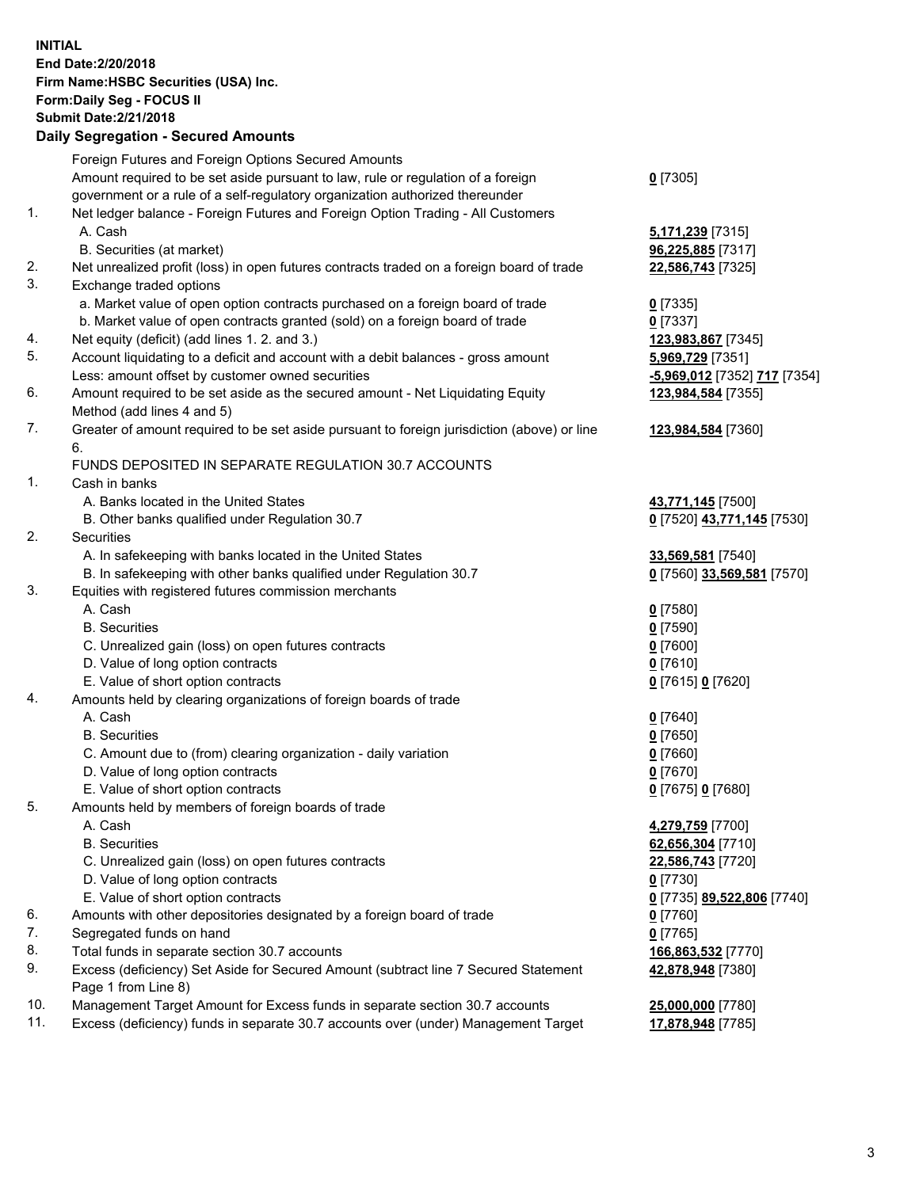**INITIAL End Date:2/20/2018 Firm Name:HSBC Securities (USA) Inc. Form:Daily Seg - FOCUS II Submit Date:2/21/2018 Daily Segregation - Secured Amounts** Foreign Futures and Foreign Options Secured Amounts Amount required to be set aside pursuant to law, rule or regulation of a foreign government or a rule of a self-regulatory organization authorized thereunder **0** [7305] 1. Net ledger balance - Foreign Futures and Foreign Option Trading - All Customers A. Cash **5,171,239** [7315] B. Securities (at market) **96,225,885** [7317] 2. Net unrealized profit (loss) in open futures contracts traded on a foreign board of trade **22,586,743** [7325] 3. Exchange traded options a. Market value of open option contracts purchased on a foreign board of trade **0** [7335] b. Market value of open contracts granted (sold) on a foreign board of trade **0** [7337] 4. Net equity (deficit) (add lines 1. 2. and 3.) **123,983,867** [7345] 5. Account liquidating to a deficit and account with a debit balances - gross amount **5,969,729** [7351] Less: amount offset by customer owned securities **-5,969,012** [7352] **717** [7354] 6. Amount required to be set aside as the secured amount - Net Liquidating Equity Method (add lines 4 and 5) **123,984,584** [7355] 7. Greater of amount required to be set aside pursuant to foreign jurisdiction (above) or line 6. **123,984,584** [7360] FUNDS DEPOSITED IN SEPARATE REGULATION 30.7 ACCOUNTS 1. Cash in banks A. Banks located in the United States **43,771,145** [7500] B. Other banks qualified under Regulation 30.7 **0** [7520] **43,771,145** [7530] 2. Securities A. In safekeeping with banks located in the United States **33,569,581** [7540] B. In safekeeping with other banks qualified under Regulation 30.7 **0** [7560] **33,569,581** [7570] 3. Equities with registered futures commission merchants A. Cash **0** [7580] B. Securities **0** [7590] C. Unrealized gain (loss) on open futures contracts **0** [7600] D. Value of long option contracts **0** [7610] E. Value of short option contracts **0** [7615] **0** [7620] 4. Amounts held by clearing organizations of foreign boards of trade A. Cash **0** [7640] B. Securities **0** [7650] C. Amount due to (from) clearing organization - daily variation **0** [7660] D. Value of long option contracts **0** [7670] E. Value of short option contracts **0** [7675] **0** [7680] 5. Amounts held by members of foreign boards of trade A. Cash **4,279,759** [7700] B. Securities **62,656,304** [7710] C. Unrealized gain (loss) on open futures contracts **22,586,743** [7720] D. Value of long option contracts **0** [7730] E. Value of short option contracts **0** [7735] **89,522,806** [7740] 6. Amounts with other depositories designated by a foreign board of trade **0** [7760] 7. Segregated funds on hand **0** [7765]

- 
- 8. Total funds in separate section 30.7 accounts **166,863,532** [7770]
- 9. Excess (deficiency) Set Aside for Secured Amount (subtract line 7 Secured Statement Page 1 from Line 8)
- 10. Management Target Amount for Excess funds in separate section 30.7 accounts **25,000,000** [7780]
- 11. Excess (deficiency) funds in separate 30.7 accounts over (under) Management Target **17,878,948** [7785]

**42,878,948** [7380]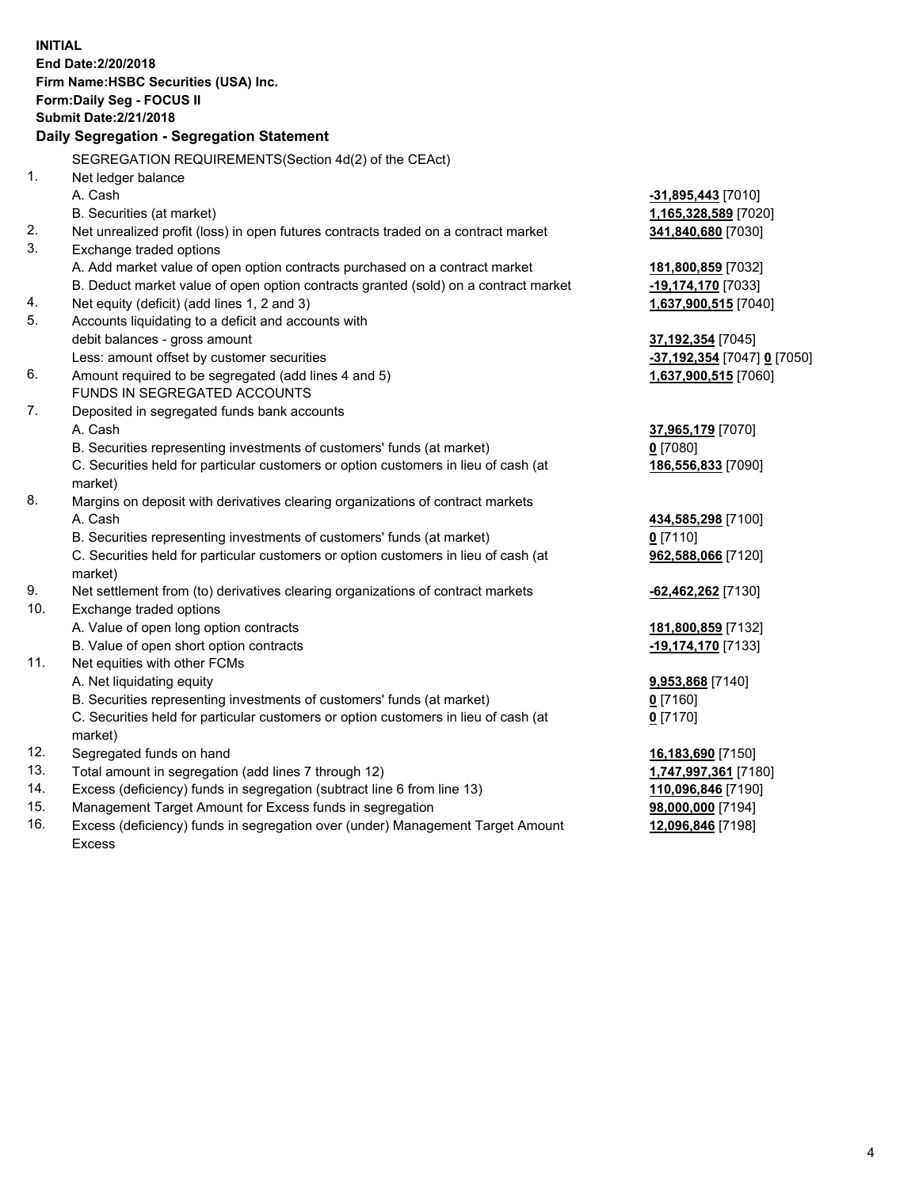**INITIAL End Date:2/20/2018 Firm Name:HSBC Securities (USA) Inc. Form:Daily Seg - FOCUS II Submit Date:2/21/2018 Daily Segregation - Segregation Statement** SEGREGATION REQUIREMENTS(Section 4d(2) of the CEAct) 1. Net ledger balance A. Cash **-31,895,443** [7010] B. Securities (at market) **1,165,328,589** [7020] 2. Net unrealized profit (loss) in open futures contracts traded on a contract market **341,840,680** [7030] 3. Exchange traded options A. Add market value of open option contracts purchased on a contract market **181,800,859** [7032] B. Deduct market value of open option contracts granted (sold) on a contract market **-19,174,170** [7033] 4. Net equity (deficit) (add lines 1, 2 and 3) **1,637,900,515** [7040] 5. Accounts liquidating to a deficit and accounts with debit balances - gross amount **37,192,354** [7045] Less: amount offset by customer securities **-37,192,354** [7047] **0** [7050] 6. Amount required to be segregated (add lines 4 and 5) **1,637,900,515** [7060] FUNDS IN SEGREGATED ACCOUNTS 7. Deposited in segregated funds bank accounts A. Cash **37,965,179** [7070] B. Securities representing investments of customers' funds (at market) **0** [7080] C. Securities held for particular customers or option customers in lieu of cash (at market) **186,556,833** [7090] 8. Margins on deposit with derivatives clearing organizations of contract markets A. Cash **434,585,298** [7100] B. Securities representing investments of customers' funds (at market) **0** [7110] C. Securities held for particular customers or option customers in lieu of cash (at market) **962,588,066** [7120] 9. Net settlement from (to) derivatives clearing organizations of contract markets **-62,462,262** [7130] 10. Exchange traded options A. Value of open long option contracts **181,800,859** [7132] B. Value of open short option contracts **-19,174,170** [7133] 11. Net equities with other FCMs A. Net liquidating equity **9,953,868** [7140] B. Securities representing investments of customers' funds (at market) **0** [7160] C. Securities held for particular customers or option customers in lieu of cash (at market) **0** [7170] 12. Segregated funds on hand **16,183,690** [7150] 13. Total amount in segregation (add lines 7 through 12) **1,747,997,361** [7180] 14. Excess (deficiency) funds in segregation (subtract line 6 from line 13) **110,096,846** [7190] 15. Management Target Amount for Excess funds in segregation **98,000,000** [7194]

16. Excess (deficiency) funds in segregation over (under) Management Target Amount

Excess

**12,096,846** [7198]